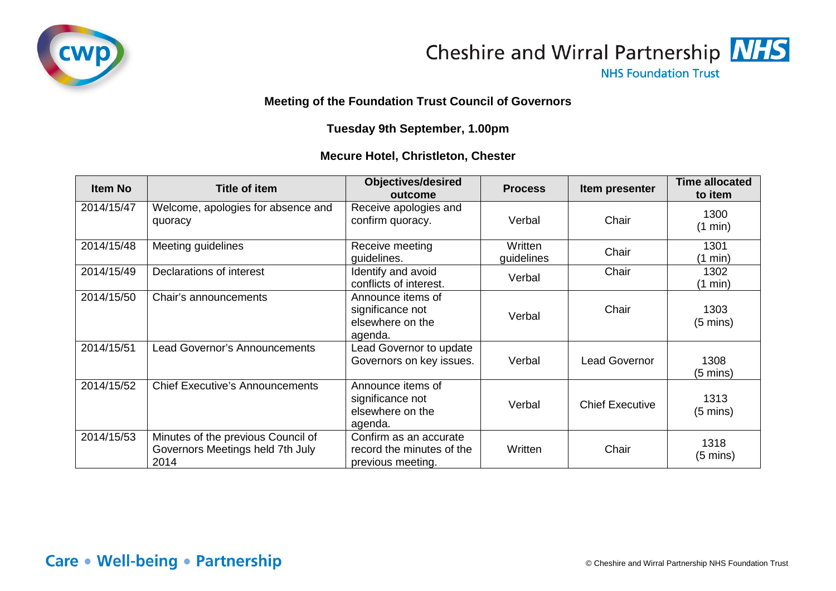



**NHS Foundation Trust** 

## **Meeting of the Foundation Trust Council of Governors**

## **Tuesday 9th September, 1.00pm**

## **Mecure Hotel, Christleton, Chester**

| <b>Item No</b> | <b>Title of item</b>                                                           | <b>Objectives/desired</b><br>outcome                                     | <b>Process</b>        | Item presenter         | <b>Time allocated</b><br>to item |
|----------------|--------------------------------------------------------------------------------|--------------------------------------------------------------------------|-----------------------|------------------------|----------------------------------|
| 2014/15/47     | Welcome, apologies for absence and<br>quoracy                                  | Receive apologies and<br>confirm quoracy.                                | Verbal                | Chair                  | 1300<br>$(1 \text{ min})$        |
| 2014/15/48     | Meeting guidelines                                                             | Receive meeting<br>guidelines.                                           | Written<br>guidelines | Chair                  | 1301<br>$(1 \text{ min})$        |
| 2014/15/49     | Declarations of interest                                                       | Identify and avoid<br>conflicts of interest.                             | Verbal                | Chair                  | 1302<br>(1 min)                  |
| 2014/15/50     | Chair's announcements                                                          | Announce items of<br>significance not<br>elsewhere on the<br>agenda.     | Verbal                | Chair                  | 1303<br>$(5 \text{ mins})$       |
| 2014/15/51     | <b>Lead Governor's Announcements</b>                                           | Lead Governor to update<br>Governors on key issues.                      | Verbal                | <b>Lead Governor</b>   | 1308<br>(5 mins)                 |
| 2014/15/52     | <b>Chief Executive's Announcements</b>                                         | Announce items of<br>significance not<br>elsewhere on the<br>agenda.     | Verbal                | <b>Chief Executive</b> | 1313<br>$(5 \text{ mins})$       |
| 2014/15/53     | Minutes of the previous Council of<br>Governors Meetings held 7th July<br>2014 | Confirm as an accurate<br>record the minutes of the<br>previous meeting. | Written               | Chair                  | 1318<br>$(5 \text{ mins})$       |

## Care • Well-being • Partnership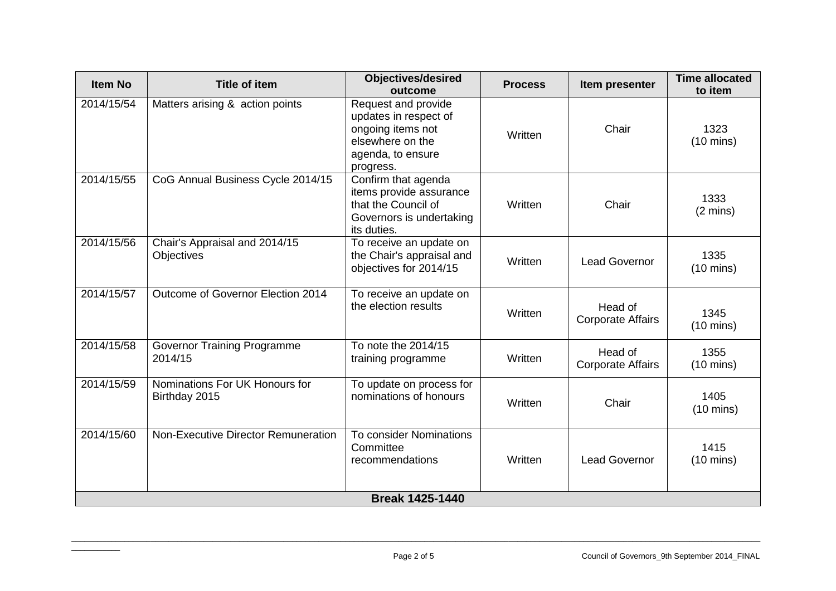| <b>Item No</b>         | <b>Title of item</b>                            | <b>Objectives/desired</b><br>outcome                                                                                    | <b>Process</b> | Item presenter                      | <b>Time allocated</b><br>to item |
|------------------------|-------------------------------------------------|-------------------------------------------------------------------------------------------------------------------------|----------------|-------------------------------------|----------------------------------|
| 2014/15/54             | Matters arising & action points                 | Request and provide<br>updates in respect of<br>ongoing items not<br>elsewhere on the<br>agenda, to ensure<br>progress. | Written        | Chair                               | 1323<br>$(10 \text{ mins})$      |
| 2014/15/55             | CoG Annual Business Cycle 2014/15               | Confirm that agenda<br>items provide assurance<br>that the Council of<br>Governors is undertaking<br>its duties.        | Written        | Chair                               | 1333<br>$(2 \text{ mins})$       |
| 2014/15/56             | Chair's Appraisal and 2014/15<br>Objectives     | To receive an update on<br>the Chair's appraisal and<br>objectives for 2014/15                                          | Written        | <b>Lead Governor</b>                | 1335<br>$(10 \text{ mins})$      |
| 2014/15/57             | Outcome of Governor Election 2014               | To receive an update on<br>the election results                                                                         | Written        | Head of<br><b>Corporate Affairs</b> | 1345<br>$(10 \text{ mins})$      |
| 2014/15/58             | <b>Governor Training Programme</b><br>2014/15   | To note the 2014/15<br>training programme                                                                               | Written        | Head of<br><b>Corporate Affairs</b> | 1355<br>$(10 \text{ mins})$      |
| 2014/15/59             | Nominations For UK Honours for<br>Birthday 2015 | To update on process for<br>nominations of honours                                                                      | Written        | Chair                               | 1405<br>$(10 \text{ mins})$      |
| 2014/15/60             | Non-Executive Director Remuneration             | To consider Nominations<br>Committee<br>recommendations                                                                 | Written        | <b>Lead Governor</b>                | 1415<br>$(10 \text{ mins})$      |
| <b>Break 1425-1440</b> |                                                 |                                                                                                                         |                |                                     |                                  |

 $\overline{\phantom{a}}$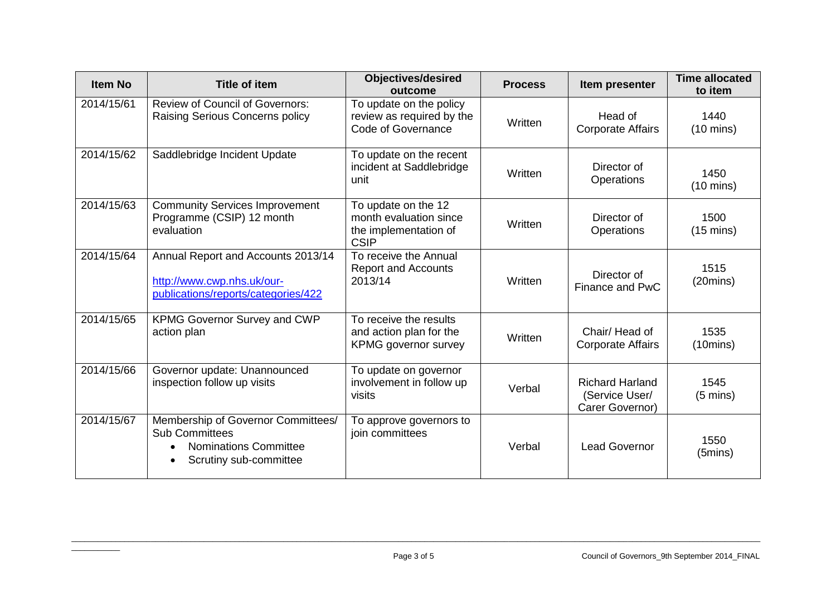| <b>Item No</b> | <b>Title of item</b>                                                                                           | <b>Objectives/desired</b><br>outcome                                                  | <b>Process</b> | Item presenter                                              | <b>Time allocated</b><br>to item |
|----------------|----------------------------------------------------------------------------------------------------------------|---------------------------------------------------------------------------------------|----------------|-------------------------------------------------------------|----------------------------------|
| 2014/15/61     | <b>Review of Council of Governors:</b><br>Raising Serious Concerns policy                                      | To update on the policy<br>review as required by the<br>Code of Governance            | Written        | Head of<br><b>Corporate Affairs</b>                         | 1440<br>$(10 \text{ mins})$      |
| 2014/15/62     | Saddlebridge Incident Update                                                                                   | To update on the recent<br>incident at Saddlebridge<br>unit                           | Written        | Director of<br>Operations                                   | 1450<br>$(10 \text{ mins})$      |
| 2014/15/63     | <b>Community Services Improvement</b><br>Programme (CSIP) 12 month<br>evaluation                               | To update on the 12<br>month evaluation since<br>the implementation of<br><b>CSIP</b> | Written        | Director of<br>Operations                                   | 1500<br>$(15 \text{ mins})$      |
| 2014/15/64     | Annual Report and Accounts 2013/14<br>http://www.cwp.nhs.uk/our-<br>publications/reports/categories/422        | To receive the Annual<br><b>Report and Accounts</b><br>2013/14                        | Written        | Director of<br>Finance and PwC                              | 1515<br>(20 mins)                |
| 2014/15/65     | <b>KPMG Governor Survey and CWP</b><br>action plan                                                             | To receive the results<br>and action plan for the<br><b>KPMG</b> governor survey      | Written        | Chair/Head of<br><b>Corporate Affairs</b>                   | 1535<br>(10 mins)                |
| 2014/15/66     | Governor update: Unannounced<br>inspection follow up visits                                                    | To update on governor<br>involvement in follow up<br>visits                           | Verbal         | <b>Richard Harland</b><br>(Service User/<br>Carer Governor) | 1545<br>$(5 \text{ mins})$       |
| 2014/15/67     | Membership of Governor Committees/<br><b>Sub Committees</b><br>Nominations Committee<br>Scrutiny sub-committee | To approve governors to<br>join committees                                            | Verbal         | <b>Lead Governor</b>                                        | 1550<br>$(5 \text{mins})$        |

\_\_\_\_\_\_\_\_\_\_\_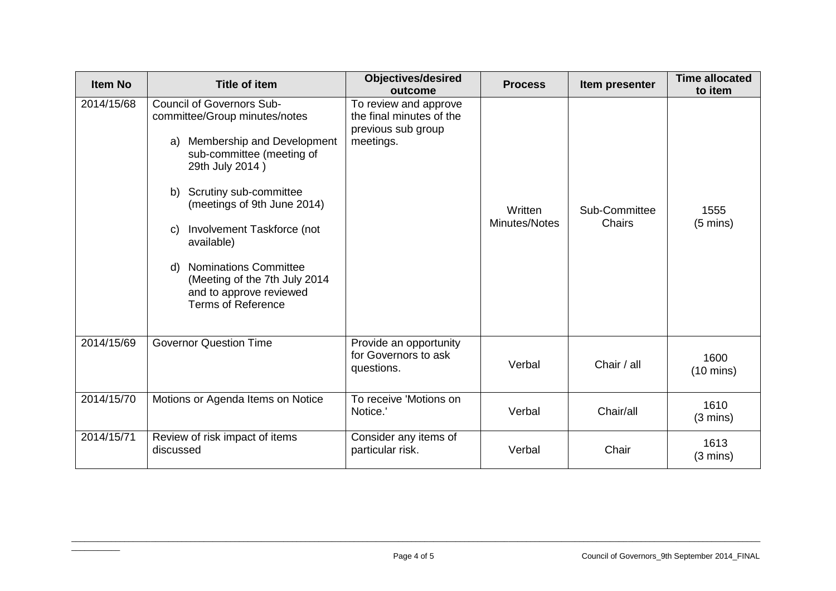| <b>Item No</b> | <b>Title of item</b>                                                                                                                                                                                                                                                                                                                                                                                  | <b>Objectives/desired</b><br>outcome                                                 | <b>Process</b>           | Item presenter          | <b>Time allocated</b><br>to item |
|----------------|-------------------------------------------------------------------------------------------------------------------------------------------------------------------------------------------------------------------------------------------------------------------------------------------------------------------------------------------------------------------------------------------------------|--------------------------------------------------------------------------------------|--------------------------|-------------------------|----------------------------------|
| 2014/15/68     | <b>Council of Governors Sub-</b><br>committee/Group minutes/notes<br>Membership and Development<br>a)<br>sub-committee (meeting of<br>29th July 2014)<br>Scrutiny sub-committee<br>b)<br>(meetings of 9th June 2014)<br>Involvement Taskforce (not<br>C)<br>available)<br><b>Nominations Committee</b><br>d)<br>(Meeting of the 7th July 2014<br>and to approve reviewed<br><b>Terms of Reference</b> | To review and approve<br>the final minutes of the<br>previous sub group<br>meetings. | Written<br>Minutes/Notes | Sub-Committee<br>Chairs | 1555<br>$(5 \text{ mins})$       |
| 2014/15/69     | <b>Governor Question Time</b>                                                                                                                                                                                                                                                                                                                                                                         | Provide an opportunity<br>for Governors to ask<br>questions.                         | Verbal                   | Chair / all             | 1600<br>$(10 \text{ mins})$      |
| 2014/15/70     | Motions or Agenda Items on Notice                                                                                                                                                                                                                                                                                                                                                                     | To receive 'Motions on<br>Notice.'                                                   | Verbal                   | Chair/all               | 1610<br>$(3 \text{ mins})$       |
| 2014/15/71     | Review of risk impact of items<br>discussed                                                                                                                                                                                                                                                                                                                                                           | Consider any items of<br>particular risk.                                            | Verbal                   | Chair                   | 1613<br>$(3 \text{ mins})$       |

 $\overline{\phantom{a}}$